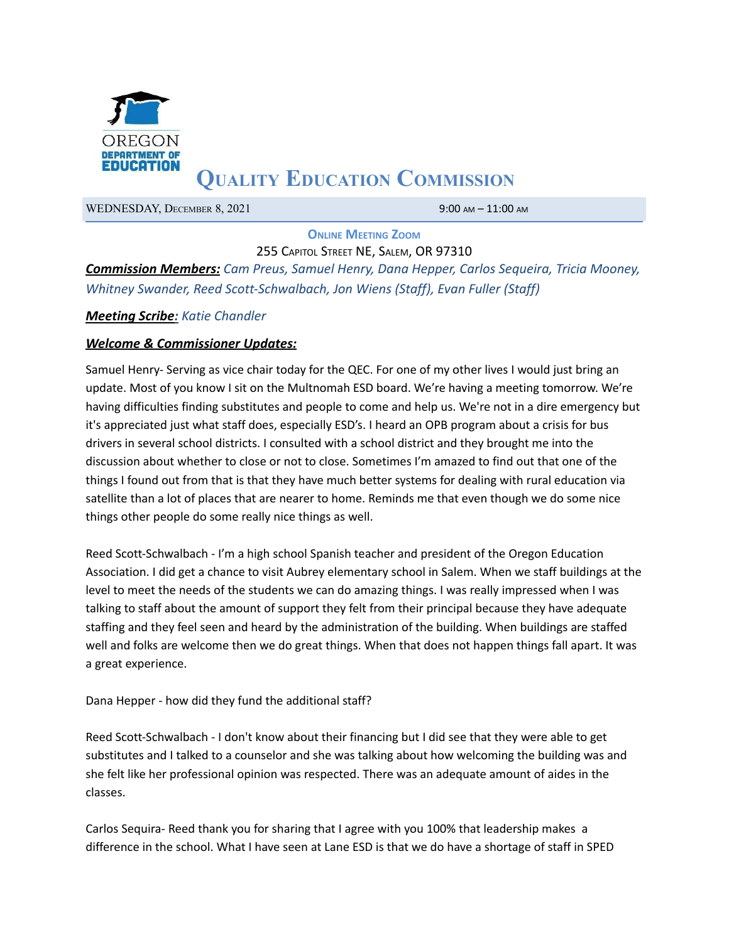

# **QUALITY EDUCATION COMMISSION**

WEDNESDAY, DECEMBER 8, 2021 9:00 AM - 11:00 AM

**ONLINE MEETING ZOOM**

255 CAPITOL STREET NE, SALEM, OR 97310 *Commission Members: Cam Preus, Samuel Henry, Dana Hepper, Carlos Sequeira, Tricia Mooney, Whitney Swander, Reed Scott-Schwalbach, Jon Wiens (Staff), Evan Fuller (Staff)*

### *Meeting Scribe: Katie Chandler*

#### *Welcome & Commissioner Updates:*

Samuel Henry- Serving as vice chair today for the QEC. For one of my other lives I would just bring an update. Most of you know I sit on the Multnomah ESD board. We're having a meeting tomorrow. We're having difficulties finding substitutes and people to come and help us. We're not in a dire emergency but it's appreciated just what staff does, especially ESD's. I heard an OPB program about a crisis for bus drivers in several school districts. I consulted with a school district and they brought me into the discussion about whether to close or not to close. Sometimes I'm amazed to find out that one of the things I found out from that is that they have much better systems for dealing with rural education via satellite than a lot of places that are nearer to home. Reminds me that even though we do some nice things other people do some really nice things as well.

Reed Scott-Schwalbach - I'm a high school Spanish teacher and president of the Oregon Education Association. I did get a chance to visit Aubrey elementary school in Salem. When we staff buildings at the level to meet the needs of the students we can do amazing things. I was really impressed when I was talking to staff about the amount of support they felt from their principal because they have adequate staffing and they feel seen and heard by the administration of the building. When buildings are staffed well and folks are welcome then we do great things. When that does not happen things fall apart. It was a great experience.

Dana Hepper - how did they fund the additional staff?

Reed Scott-Schwalbach - I don't know about their financing but I did see that they were able to get substitutes and I talked to a counselor and she was talking about how welcoming the building was and she felt like her professional opinion was respected. There was an adequate amount of aides in the classes.

Carlos Sequira- Reed thank you for sharing that I agree with you 100% that leadership makes a difference in the school. What I have seen at Lane ESD is that we do have a shortage of staff in SPED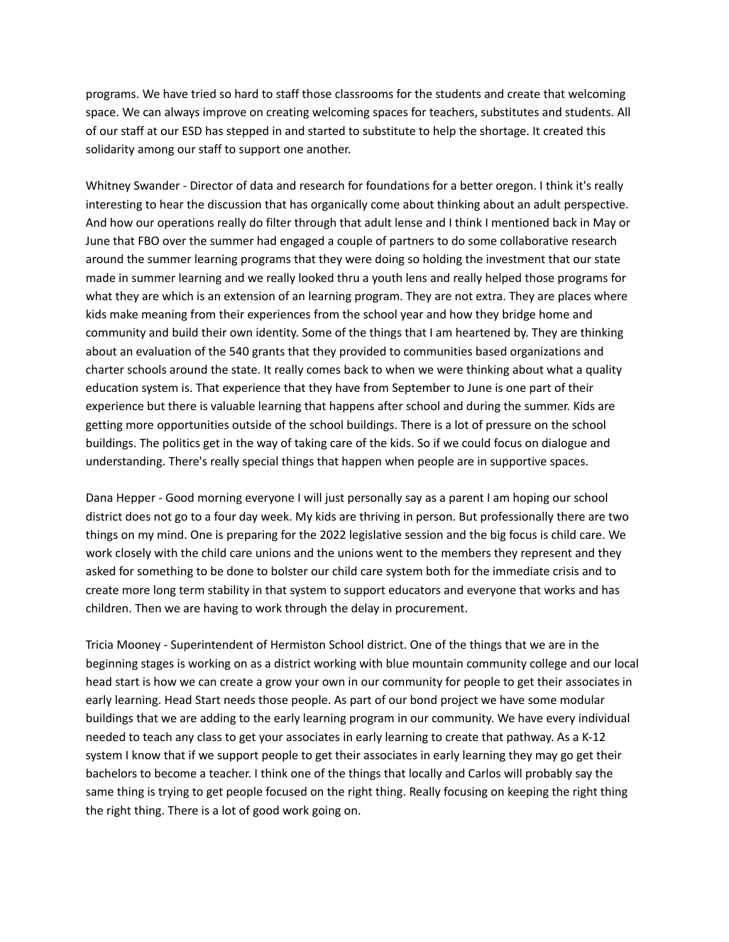programs. We have tried so hard to staff those classrooms for the students and create that welcoming space. We can always improve on creating welcoming spaces for teachers, substitutes and students. All of our staff at our ESD has stepped in and started to substitute to help the shortage. It created this solidarity among our staff to support one another.

Whitney Swander - Director of data and research for foundations for a better oregon. I think it's really interesting to hear the discussion that has organically come about thinking about an adult perspective. And how our operations really do filter through that adult lense and I think I mentioned back in May or June that FBO over the summer had engaged a couple of partners to do some collaborative research around the summer learning programs that they were doing so holding the investment that our state made in summer learning and we really looked thru a youth lens and really helped those programs for what they are which is an extension of an learning program. They are not extra. They are places where kids make meaning from their experiences from the school year and how they bridge home and community and build their own identity. Some of the things that I am heartened by. They are thinking about an evaluation of the 540 grants that they provided to communities based organizations and charter schools around the state. It really comes back to when we were thinking about what a quality education system is. That experience that they have from September to June is one part of their experience but there is valuable learning that happens after school and during the summer. Kids are getting more opportunities outside of the school buildings. There is a lot of pressure on the school buildings. The politics get in the way of taking care of the kids. So if we could focus on dialogue and understanding. There's really special things that happen when people are in supportive spaces.

Dana Hepper - Good morning everyone I will just personally say as a parent I am hoping our school district does not go to a four day week. My kids are thriving in person. But professionally there are two things on my mind. One is preparing for the 2022 legislative session and the big focus is child care. We work closely with the child care unions and the unions went to the members they represent and they asked for something to be done to bolster our child care system both for the immediate crisis and to create more long term stability in that system to support educators and everyone that works and has children. Then we are having to work through the delay in procurement.

Tricia Mooney - Superintendent of Hermiston School district. One of the things that we are in the beginning stages is working on as a district working with blue mountain community college and our local head start is how we can create a grow your own in our community for people to get their associates in early learning. Head Start needs those people. As part of our bond project we have some modular buildings that we are adding to the early learning program in our community. We have every individual needed to teach any class to get your associates in early learning to create that pathway. As a K-12 system I know that if we support people to get their associates in early learning they may go get their bachelors to become a teacher. I think one of the things that locally and Carlos will probably say the same thing is trying to get people focused on the right thing. Really focusing on keeping the right thing the right thing. There is a lot of good work going on.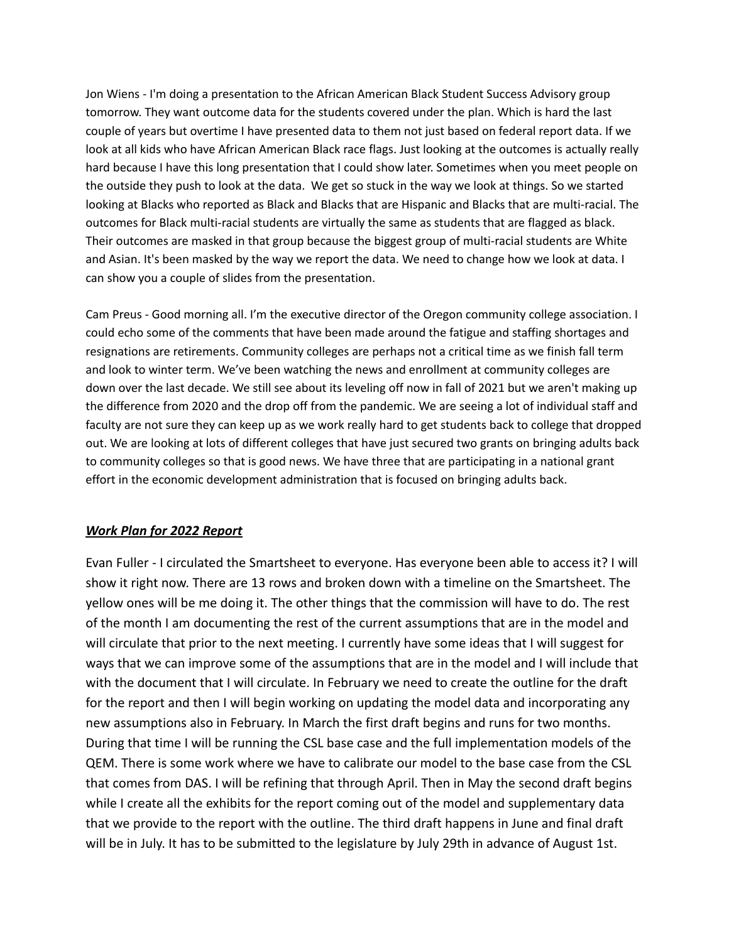Jon Wiens - I'm doing a presentation to the African American Black Student Success Advisory group tomorrow. They want outcome data for the students covered under the plan. Which is hard the last couple of years but overtime I have presented data to them not just based on federal report data. If we look at all kids who have African American Black race flags. Just looking at the outcomes is actually really hard because I have this long presentation that I could show later. Sometimes when you meet people on the outside they push to look at the data. We get so stuck in the way we look at things. So we started looking at Blacks who reported as Black and Blacks that are Hispanic and Blacks that are multi-racial. The outcomes for Black multi-racial students are virtually the same as students that are flagged as black. Their outcomes are masked in that group because the biggest group of multi-racial students are White and Asian. It's been masked by the way we report the data. We need to change how we look at data. I can show you a couple of slides from the presentation.

Cam Preus - Good morning all. I'm the executive director of the Oregon community college association. I could echo some of the comments that have been made around the fatigue and staffing shortages and resignations are retirements. Community colleges are perhaps not a critical time as we finish fall term and look to winter term. We've been watching the news and enrollment at community colleges are down over the last decade. We still see about its leveling off now in fall of 2021 but we aren't making up the difference from 2020 and the drop off from the pandemic. We are seeing a lot of individual staff and faculty are not sure they can keep up as we work really hard to get students back to college that dropped out. We are looking at lots of different colleges that have just secured two grants on bringing adults back to community colleges so that is good news. We have three that are participating in a national grant effort in the economic development administration that is focused on bringing adults back.

#### *Work Plan for 2022 Report*

Evan Fuller - I circulated the Smartsheet to everyone. Has everyone been able to access it? I will show it right now. There are 13 rows and broken down with a timeline on the Smartsheet. The yellow ones will be me doing it. The other things that the commission will have to do. The rest of the month I am documenting the rest of the current assumptions that are in the model and will circulate that prior to the next meeting. I currently have some ideas that I will suggest for ways that we can improve some of the assumptions that are in the model and I will include that with the document that I will circulate. In February we need to create the outline for the draft for the report and then I will begin working on updating the model data and incorporating any new assumptions also in February. In March the first draft begins and runs for two months. During that time I will be running the CSL base case and the full implementation models of the QEM. There is some work where we have to calibrate our model to the base case from the CSL that comes from DAS. I will be refining that through April. Then in May the second draft begins while I create all the exhibits for the report coming out of the model and supplementary data that we provide to the report with the outline. The third draft happens in June and final draft will be in July. It has to be submitted to the legislature by July 29th in advance of August 1st.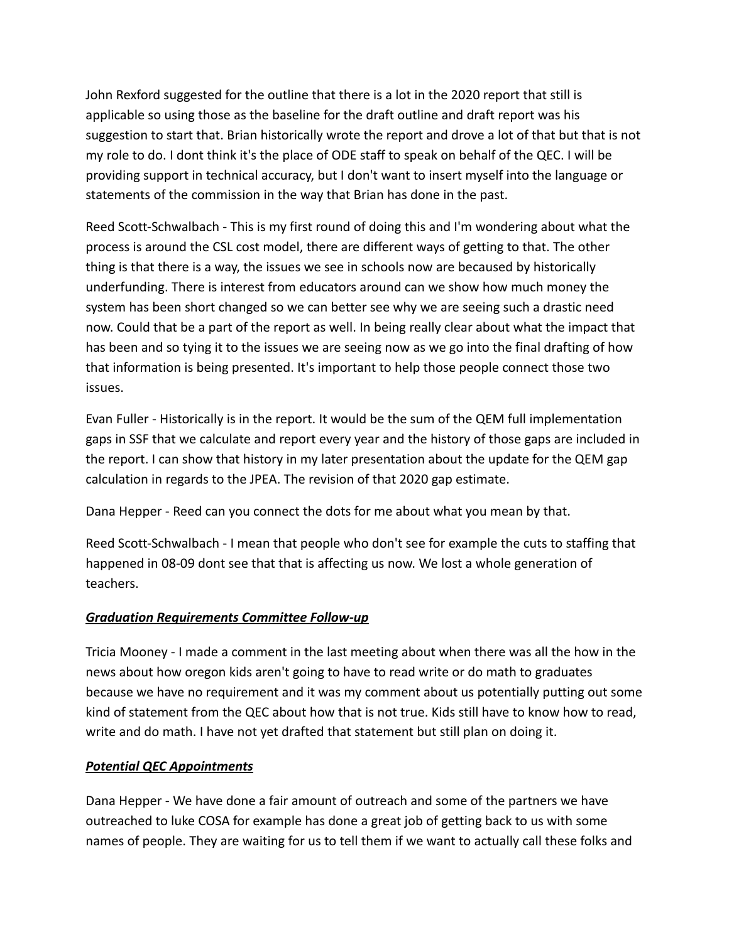John Rexford suggested for the outline that there is a lot in the 2020 report that still is applicable so using those as the baseline for the draft outline and draft report was his suggestion to start that. Brian historically wrote the report and drove a lot of that but that is not my role to do. I dont think it's the place of ODE staff to speak on behalf of the QEC. I will be providing support in technical accuracy, but I don't want to insert myself into the language or statements of the commission in the way that Brian has done in the past.

Reed Scott-Schwalbach - This is my first round of doing this and I'm wondering about what the process is around the CSL cost model, there are different ways of getting to that. The other thing is that there is a way, the issues we see in schools now are becaused by historically underfunding. There is interest from educators around can we show how much money the system has been short changed so we can better see why we are seeing such a drastic need now. Could that be a part of the report as well. In being really clear about what the impact that has been and so tying it to the issues we are seeing now as we go into the final drafting of how that information is being presented. It's important to help those people connect those two issues.

Evan Fuller - Historically is in the report. It would be the sum of the QEM full implementation gaps in SSF that we calculate and report every year and the history of those gaps are included in the report. I can show that history in my later presentation about the update for the QEM gap calculation in regards to the JPEA. The revision of that 2020 gap estimate.

Dana Hepper - Reed can you connect the dots for me about what you mean by that.

Reed Scott-Schwalbach - I mean that people who don't see for example the cuts to staffing that happened in 08-09 dont see that that is affecting us now. We lost a whole generation of teachers.

## *Graduation Requirements Committee Follow-up*

Tricia Mooney - I made a comment in the last meeting about when there was all the how in the news about how oregon kids aren't going to have to read write or do math to graduates because we have no requirement and it was my comment about us potentially putting out some kind of statement from the QEC about how that is not true. Kids still have to know how to read, write and do math. I have not yet drafted that statement but still plan on doing it.

## *Potential QEC Appointments*

Dana Hepper - We have done a fair amount of outreach and some of the partners we have outreached to luke COSA for example has done a great job of getting back to us with some names of people. They are waiting for us to tell them if we want to actually call these folks and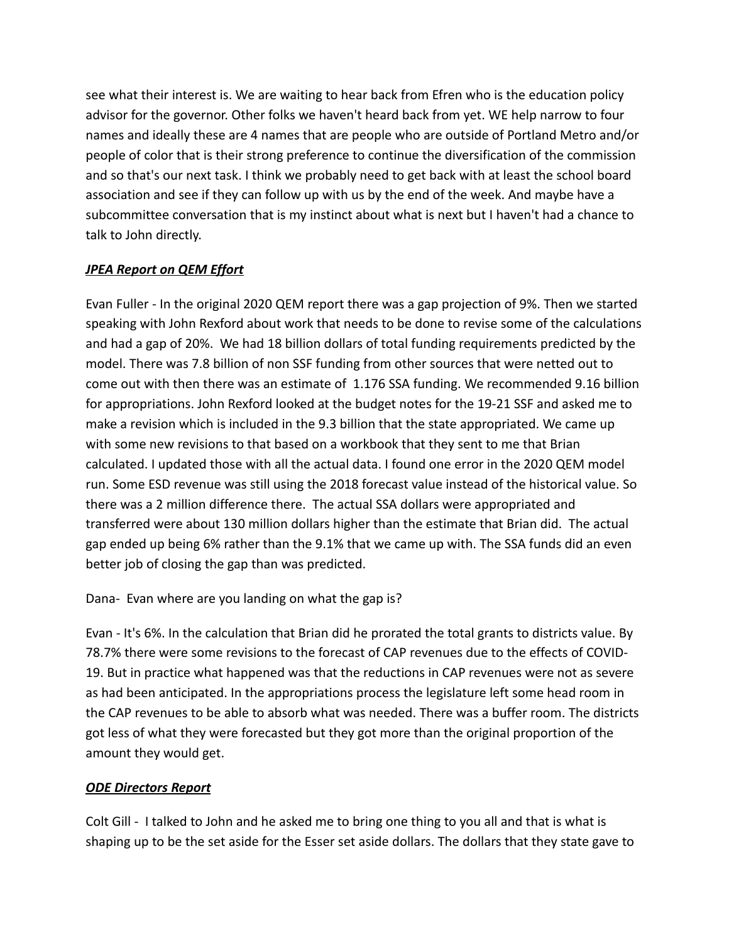see what their interest is. We are waiting to hear back from Efren who is the education policy advisor for the governor. Other folks we haven't heard back from yet. WE help narrow to four names and ideally these are 4 names that are people who are outside of Portland Metro and/or people of color that is their strong preference to continue the diversification of the commission and so that's our next task. I think we probably need to get back with at least the school board association and see if they can follow up with us by the end of the week. And maybe have a subcommittee conversation that is my instinct about what is next but I haven't had a chance to talk to John directly.

# *JPEA Report on QEM Effort*

Evan Fuller - In the original 2020 QEM report there was a gap projection of 9%. Then we started speaking with John Rexford about work that needs to be done to revise some of the calculations and had a gap of 20%. We had 18 billion dollars of total funding requirements predicted by the model. There was 7.8 billion of non SSF funding from other sources that were netted out to come out with then there was an estimate of 1.176 SSA funding. We recommended 9.16 billion for appropriations. John Rexford looked at the budget notes for the 19-21 SSF and asked me to make a revision which is included in the 9.3 billion that the state appropriated. We came up with some new revisions to that based on a workbook that they sent to me that Brian calculated. I updated those with all the actual data. I found one error in the 2020 QEM model run. Some ESD revenue was still using the 2018 forecast value instead of the historical value. So there was a 2 million difference there. The actual SSA dollars were appropriated and transferred were about 130 million dollars higher than the estimate that Brian did. The actual gap ended up being 6% rather than the 9.1% that we came up with. The SSA funds did an even better job of closing the gap than was predicted.

Dana- Evan where are you landing on what the gap is?

Evan - It's 6%. In the calculation that Brian did he prorated the total grants to districts value. By 78.7% there were some revisions to the forecast of CAP revenues due to the effects of COVID-19. But in practice what happened was that the reductions in CAP revenues were not as severe as had been anticipated. In the appropriations process the legislature left some head room in the CAP revenues to be able to absorb what was needed. There was a buffer room. The districts got less of what they were forecasted but they got more than the original proportion of the amount they would get.

# *ODE Directors Report*

Colt Gill - I talked to John and he asked me to bring one thing to you all and that is what is shaping up to be the set aside for the Esser set aside dollars. The dollars that they state gave to